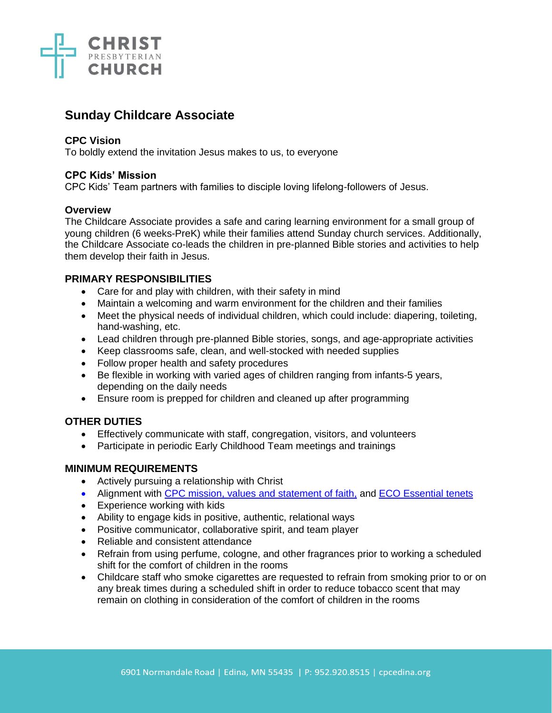

# **Sunday Childcare Associate**

## **CPC Vision**

To boldly extend the invitation Jesus makes to us, to everyone

## **CPC Kids' Mission**

CPC Kids' Team partners with families to disciple loving lifelong-followers of Jesus.

#### **Overview**

The Childcare Associate provides a safe and caring learning environment for a small group of young children (6 weeks-PreK) while their families attend Sunday church services. Additionally, the Childcare Associate co-leads the children in pre-planned Bible stories and activities to help them develop their faith in Jesus.

# **PRIMARY RESPONSIBILITIES**

- Care for and play with children, with their safety in mind
- Maintain a welcoming and warm environment for the children and their families
- Meet the physical needs of individual children, which could include: diapering, toileting, hand-washing, etc.
- Lead children through pre-planned Bible stories, songs, and age-appropriate activities
- Keep classrooms safe, clean, and well-stocked with needed supplies
- Follow proper health and safety procedures
- Be flexible in working with varied ages of children ranging from infants-5 years, depending on the daily needs
- Ensure room is prepped for children and cleaned up after programming

# **OTHER DUTIES**

- Effectively communicate with staff, congregation, visitors, and volunteers
- Participate in periodic Early Childhood Team meetings and trainings

# **MINIMUM REQUIREMENTS**

- Actively pursuing a relationship with Christ
- Alignment with [CPC mission, values and](https://cpcedina.org/about/) statement of faith, and [ECO Essential tenets](https://www.eco-pres.org/static/media/uploads/resources/Essential%20Tenets/new_format_-_essential.pdf)
- Experience working with kids
- Ability to engage kids in positive, authentic, relational ways
- Positive communicator, collaborative spirit, and team player
- Reliable and consistent attendance
- Refrain from using perfume, cologne, and other fragrances prior to working a scheduled shift for the comfort of children in the rooms
- Childcare staff who smoke cigarettes are requested to refrain from smoking prior to or on any break times during a scheduled shift in order to reduce tobacco scent that may remain on clothing in consideration of the comfort of children in the rooms